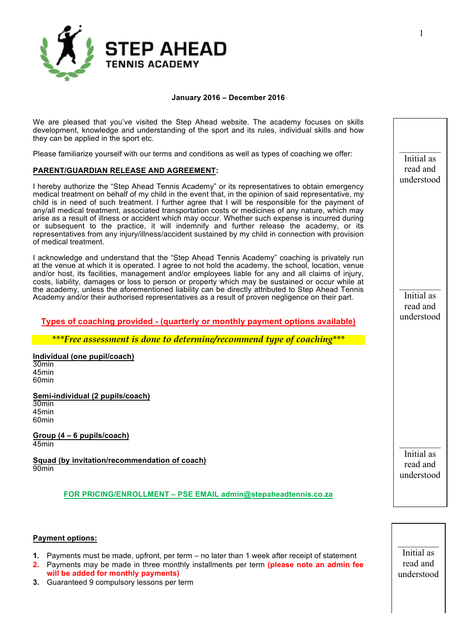

### **January 2016 – December 2016**

We are pleased that you've visited the Step Ahead website. The academy focuses on skills development, knowledge and understanding of the sport and its rules, individual skills and how they can be applied in the sport etc.

Please familiarize yourself with our terms and conditions as well as types of coaching we offer:

# **PARENT/GUARDIAN RELEASE AND AGREEMENT:**

I hereby authorize the "Step Ahead Tennis Academy" or its representatives to obtain emergency medical treatment on behalf of my child in the event that, in the opinion of said representative, my child is in need of such treatment. I further agree that I will be responsible for the payment of any/all medical treatment, associated transportation costs or medicines of any nature, which may arise as a result of illness or accident which may occur. Whether such expense is incurred during or subsequent to the practice, it will indemnify and further release the academy, or its representatives from any injury/illness/accident sustained by my child in connection with provision of medical treatment.

I acknowledge and understand that the "Step Ahead Tennis Academy" coaching is privately run at the venue at which it is operated. I agree to not hold the academy, the school, location, venue and/or host, its facilities, management and/or employees liable for any and all claims of injury, costs, liability, damages or loss to person or property which may be sustained or occur while at the academy, unless the aforementioned liability can be directly attributed to Step Ahead Tennis Academy and/or their authorised representatives as a result of proven negligence on their part.

# **Types of coaching provided - (quarterly or monthly payment options available)**

*\*\*\*Free assessment is done to determine/recommend type of coaching\*\*\**

**Individual (one pupil/coach)** 30min 45min 60min

**Semi-individual (2 pupils/coach)** 30min 45min 60min

**Group (4 – 6 pupils/coach)** 45min

**Squad (by invitation/recommendation of coach)** 90min

**FOR PRICING/ENROLLMENT – PSE EMAIL admin@stepaheadtennis.co.za**

### **Payment options:**

- **1.** Payments must be made, upfront, per term no later than 1 week after receipt of statement
- **2.** Payments may be made in three monthly installments per term **(please note an admin fee will be added for monthly payments)**
- **3.** Guaranteed 9 compulsory lessons per term

read and understood

 $\frac{1}{2}$ Initial as

Initial as read and understood

 $\frac{1}{2}$ 

Initial as read and understood

 $\frac{1}{2}$ 

 $\frac{1}{2}$ Initial as read and understood